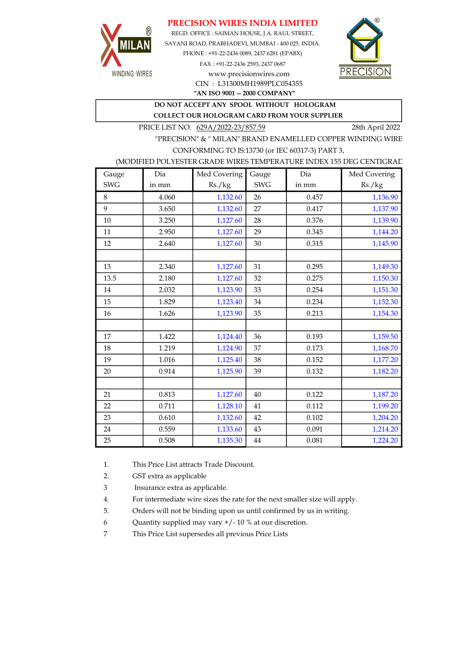### PRECISION WIRES INDIA LIMITED



REGD. OFFICE : SAIMAN HOUSE, J.A. RAUL STREET, SAYANI ROAD, PRABHADEVI, MUMBAI - 400 025. INDIA. PHONE : +91-22-2436 0089, 2437 6281 (EPABX) FAX : +91-22-2436 2593, 2437 0687 www.precisionwires.com



"AN ISO 9001 -- 2000 COMPANY" CIN : L31300MH1989PLC054355

# DO NOT ACCEPT ANY SPOOL WITHOUT HOLOGRAM

COLLECT OUR HOLOGRAM CARD FROM YOUR SUPPLIER

PRICE LIST NO. 629A/2022-23/857.59 28th April 2022

"PRECISION" & " MILAN" BRAND ENAMELLED COPPER WINDING WIRE CONFORMING TO IS:13730 (or IEC 60317-3) PART 3,

### (MODIFIED POLYESTER GRADE WIRES TEMPERATURE INDEX 155 DEG CENTIGRAD

| Gauge      | Dia   | Med Covering | Gauge      | Dia   | Med Covering |
|------------|-------|--------------|------------|-------|--------------|
| <b>SWG</b> | in mm | Rs./kg       | <b>SWG</b> | in mm | Rs./kg       |
| 8          | 4.060 | 1,132.60     | 26         | 0.457 | 1,136.90     |
| 9          | 3.650 | 1,132.60     | 27         | 0.417 | 1,137.90     |
| 10         | 3.250 | 1,127.60     | 28         | 0.376 | 1,139.90     |
| 11         | 2.950 | 1,127.60     | 29         | 0.345 | 1,144.20     |
| 12         | 2.640 | 1,127.60     | 30         | 0.315 | 1,145.90     |
|            |       |              |            |       |              |
| 13         | 2.340 | 1,127.60     | 31         | 0.295 | 1,149.30     |
| 13.5       | 2.180 | 1,127.60     | 32         | 0.275 | 1,150.30     |
| 14         | 2.032 | 1,123.90     | 33         | 0.254 | 1,151.30     |
| 15         | 1.829 | 1,123.40     | 34         | 0.234 | 1,152.30     |
| 16         | 1.626 | 1,123.90     | 35         | 0.213 | 1,154.30     |
|            |       |              |            |       |              |
| 17         | 1.422 | 1,124.40     | 36         | 0.193 | 1,159.50     |
| 18         | 1.219 | 1,124.90     | 37         | 0.173 | 1,168.70     |
| 19         | 1.016 | 1,125.40     | 38         | 0.152 | 1,177.20     |
| 20         | 0.914 | 1,125.90     | 39         | 0.132 | 1,182.20     |
|            |       |              |            |       |              |
| 21         | 0.813 | 1,127.60     | 40         | 0.122 | 1,187.20     |
| 22         | 0.711 | 1,128.10     | 41         | 0.112 | 1,199.20     |
| 23         | 0.610 | 1,132.60     | 42         | 0.102 | 1,204.20     |
| 24         | 0.559 | 1,133.60     | 43         | 0.091 | 1,214.20     |
| 25         | 0.508 | 1,135.30     | 44         | 0.081 | 1,224.20     |

1. This Price List attracts Trade Discount.

2. GST extra as applicable

3 Insurance extra as applicable.

4. For intermediate wire sizes the rate for the next smaller size will apply.

5. Orders will not be binding upon us until confirmed by us in writing.

6 Quantity supplied may vary +/- 10 % at our discretion.

7 This Price List supersedes all previous Price Lists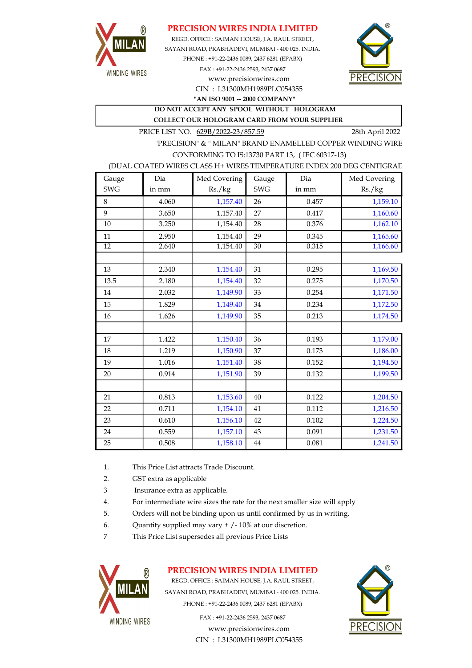

### PRECISION WIRES INDIA LIMITED

REGD. OFFICE : SAIMAN HOUSE, J.A. RAUL STREET, CIN : L31300MH1989PLC054355 SAYANI ROAD, PRABHADEVI, MUMBAI - 400 025. INDIA. PHONE : +91-22-2436 0089, 2437 6281 (EPABX) FAX : +91-22-2436 2593, 2437 0687 www.precisionwires.com



"AN ISO 9001 -- 2000 COMPANY"

DO NOT ACCEPT ANY SPOOL WITHOUT HOLOGRAM COLLECT OUR HOLOGRAM CARD FROM YOUR SUPPLIER

PRICE LIST NO. 629B/2022-23/857.59 28th April 2022

"PRECISION" & " MILAN" BRAND ENAMELLED COPPER WINDING WIRE CONFORMING TO IS:13730 PART 13, ( IEC 60317-13)

#### (DUAL COATED WIRES CLASS H+ WIRES TEMPERATURE INDEX 200 DEG CENTIGRAD

| Gauge           | Dia   | Med Covering | Gauge      | Dia   | Med Covering |
|-----------------|-------|--------------|------------|-------|--------------|
| <b>SWG</b>      | in mm | Rs./kg       | <b>SWG</b> | in mm | Rs./kg       |
| 8               | 4.060 | 1,157.40     | 26         | 0.457 | 1,159.10     |
| 9               | 3.650 | 1,157.40     | 27         | 0.417 | 1,160.60     |
| 10              | 3.250 | 1,154.40     | 28         | 0.376 | 1,162.10     |
| 11              | 2.950 | 1,154.40     | 29         | 0.345 | 1,165.60     |
| $\overline{12}$ | 2.640 | 1,154.40     | 30         | 0.315 | 1,166.60     |
|                 |       |              |            |       |              |
| 13              | 2.340 | 1,154.40     | 31         | 0.295 | 1,169.50     |
| 13.5            | 2.180 | 1,154.40     | 32         | 0.275 | 1,170.50     |
| 14              | 2.032 | 1,149.90     | 33         | 0.254 | 1,171.50     |
| 15              | 1.829 | 1,149.40     | 34         | 0.234 | 1,172.50     |
| 16              | 1.626 | 1,149.90     | 35         | 0.213 | 1,174.50     |
|                 |       |              |            |       |              |
| 17              | 1.422 | 1,150.40     | 36         | 0.193 | 1,179.00     |
| 18              | 1.219 | 1,150.90     | 37         | 0.173 | 1,186.00     |
| 19              | 1.016 | 1,151.40     | 38         | 0.152 | 1,194.50     |
| 20              | 0.914 | 1,151.90     | 39         | 0.132 | 1,199.50     |
|                 |       |              |            |       |              |
| 21              | 0.813 | 1,153.60     | 40         | 0.122 | 1,204.50     |
| 22              | 0.711 | 1,154.10     | 41         | 0.112 | 1,216.50     |
| 23              | 0.610 | 1,156.10     | 42         | 0.102 | 1,224.50     |
| 24              | 0.559 | 1,157.10     | 43         | 0.091 | 1,231.50     |
| 25              | 0.508 | 1,158.10     | $\bf 44$   | 0.081 | 1,241.50     |

- 1. This Price List attracts Trade Discount.
- 2. GST extra as applicable
- 3 Insurance extra as applicable.
- 4. For intermediate wire sizes the rate for the next smaller size will apply
- 5. Orders will not be binding upon us until confirmed by us in writing.
- 6. Quantity supplied may vary  $+/-10\%$  at our discretion.
- 7 This Price List supersedes all previous Price Lists



### PRECISION WIRES INDIA LIMITED

REGD. OFFICE : SAIMAN HOUSE, J.A. RAUL STREET, SAYANI ROAD, PRABHADEVI, MUMBAI - 400 025. INDIA. PHONE : +91-22-2436 0089, 2437 6281 (EPABX)

> www.precisionwires.com CIN : L31300MH1989PLC054355 FAX : +91-22-2436 2593, 2437 0687